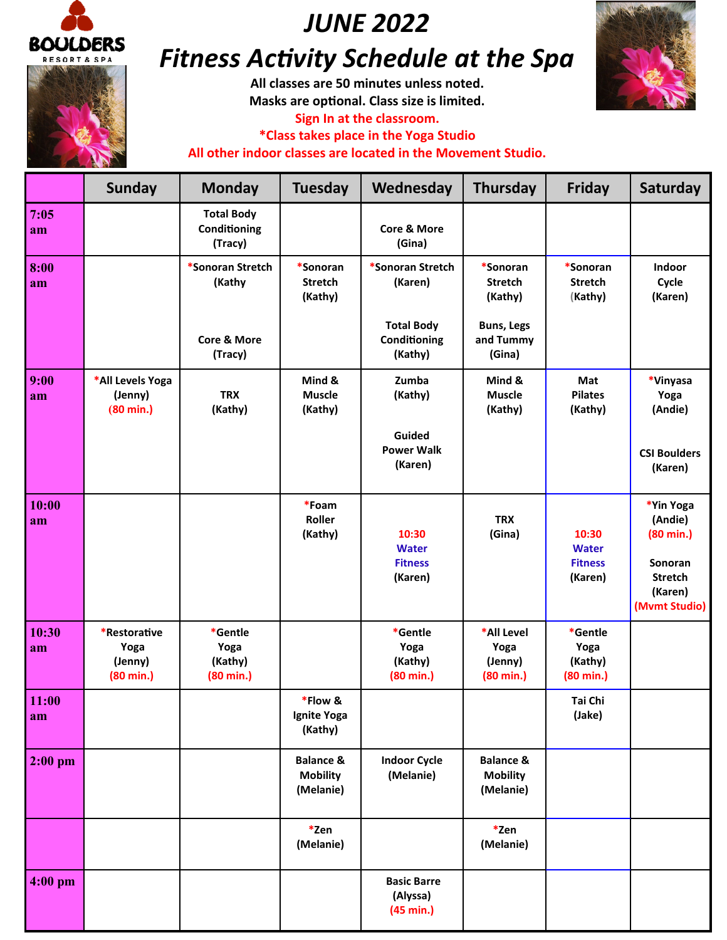

# *JUNE 2022*

# *Fitness Activity Schedule at the Spa*

**All classes are 50 minutes unless noted. Masks are optional. Class size is limited.** 

**Sign In at the classroom.**

**\*Class takes place in the Yoga Studio All other indoor classes are located in the Movement Studio.**



|             | <b>Sunday</b>                                          | <b>Monday</b>                                     | <b>Tuesday</b>                                       | Wednesday                                          | <b>Thursday</b>                                      | <b>Friday</b>                                      | Saturday                                                                                             |
|-------------|--------------------------------------------------------|---------------------------------------------------|------------------------------------------------------|----------------------------------------------------|------------------------------------------------------|----------------------------------------------------|------------------------------------------------------------------------------------------------------|
| 7:05<br>am  |                                                        | <b>Total Body</b><br>Conditioning<br>(Tracy)      |                                                      | <b>Core &amp; More</b><br>(Gina)                   |                                                      |                                                    |                                                                                                      |
| 8:00<br>am  |                                                        | *Sonoran Stretch<br>(Kathy                        | *Sonoran<br><b>Stretch</b><br>(Kathy)                | *Sonoran Stretch<br>(Karen)                        | *Sonoran<br><b>Stretch</b><br>(Kathy)                | *Sonoran<br><b>Stretch</b><br>(Kathy)              | Indoor<br>Cycle<br>(Karen)                                                                           |
|             |                                                        | Core & More<br>(Tracy)                            |                                                      | <b>Total Body</b><br>Conditioning<br>(Kathy)       | <b>Buns, Legs</b><br>and Tummy<br>(Gina)             |                                                    |                                                                                                      |
| 9:00<br>am  | *All Levels Yoga<br>(Jenny)<br>$(80 \text{ min.})$     | <b>TRX</b><br>(Kathy)                             | Mind &<br><b>Muscle</b><br>(Kathy)                   | Zumba<br>(Kathy)                                   | Mind &<br><b>Muscle</b><br>(Kathy)                   | Mat<br><b>Pilates</b><br>(Kathy)                   | *Vinyasa<br>Yoga<br>(Andie)                                                                          |
|             |                                                        |                                                   |                                                      | Guided<br><b>Power Walk</b><br>(Karen)             |                                                      |                                                    | <b>CSI Boulders</b><br>(Karen)                                                                       |
| 10:00<br>am |                                                        |                                                   | *Foam<br>Roller<br>(Kathy)                           | 10:30<br><b>Water</b><br><b>Fitness</b><br>(Karen) | <b>TRX</b><br>(Gina)                                 | 10:30<br><b>Water</b><br><b>Fitness</b><br>(Karen) | *Yin Yoga<br>(Andie)<br>$(80 \text{ min.})$<br>Sonoran<br><b>Stretch</b><br>(Karen)<br>(Mvmt Studio) |
| 10:30<br>am | *Restorative<br>Yoga<br>(Jenny)<br>$(80 \text{ min.})$ | *Gentle<br>Yoga<br>(Kathy)<br>$(80 \text{ min.})$ |                                                      | *Gentle<br>Yoga<br>(Kathy)<br>$(80 \text{ min.})$  | *All Level<br>Yoga<br>(Jenny)<br>$(80 \text{ min.})$ | *Gentle<br>Yoga<br>(Kathy)<br>$(80 \text{ min.})$  |                                                                                                      |
| 11:00<br>am |                                                        |                                                   | *Flow &<br>Ignite Yoga<br>(Kathy)                    |                                                    |                                                      | Tai Chi<br>(Jake)                                  |                                                                                                      |
| $2:00$ pm   |                                                        |                                                   | <b>Balance &amp;</b><br><b>Mobility</b><br>(Melanie) | <b>Indoor Cycle</b><br>(Melanie)                   | <b>Balance &amp;</b><br><b>Mobility</b><br>(Melanie) |                                                    |                                                                                                      |
|             |                                                        |                                                   | *Zen<br>(Melanie)                                    |                                                    | *Zen<br>(Melanie)                                    |                                                    |                                                                                                      |
| $4:00$ pm   |                                                        |                                                   |                                                      | <b>Basic Barre</b><br>(Alyssa)<br>(45 min.)        |                                                      |                                                    |                                                                                                      |